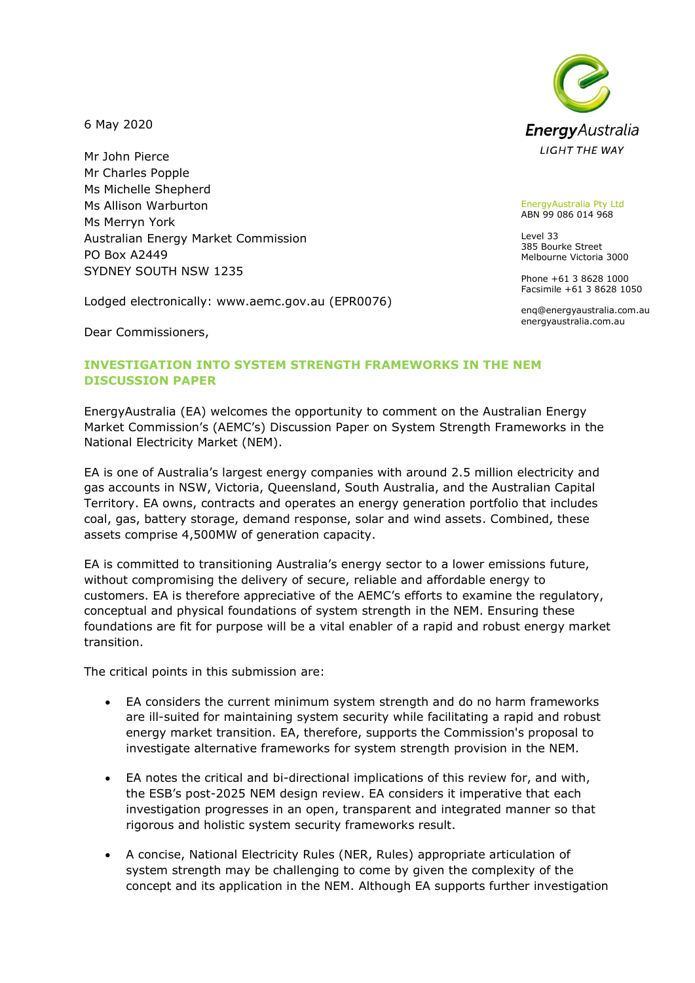6 May 2020

Mr John Pierce Mr Charles Popple Ms Michelle Shepherd Ms Allison Warburton Ms Merryn York Australian Energy Market Commission PO Box A2449 SYDNEY SOUTH NSW 1235

Lodged electronically: www.aemc.gov.au (EPR0076)

Dear Commissioners,

# **INVESTIGATION INTO SYSTEM STRENGTH FRAMEWORKS IN THE NEM DISCUSSION PAPER**

EnergyAustralia (EA) welcomes the opportunity to comment on the Australian Energy Market Commission's (AEMC's) Discussion Paper on System Strength Frameworks in the National Electricity Market (NEM).

EA is one of Australia's largest energy companies with around 2.5 million electricity and gas accounts in NSW, Victoria, Queensland, South Australia, and the Australian Capital Territory. EA owns, contracts and operates an energy generation portfolio that includes coal, gas, battery storage, demand response, solar and wind assets. Combined, these assets comprise 4,500MW of generation capacity.

EA is committed to transitioning Australia's energy sector to a lower emissions future, without compromising the delivery of secure, reliable and affordable energy to customers. EA is therefore appreciative of the AEMC's efforts to examine the regulatory, conceptual and physical foundations of system strength in the NEM. Ensuring these foundations are fit for purpose will be a vital enabler of a rapid and robust energy market transition.

The critical points in this submission are:

- EA considers the current minimum system strength and do no harm frameworks are ill-suited for maintaining system security while facilitating a rapid and robust energy market transition. EA, therefore, supports the Commission's proposal to investigate alternative frameworks for system strength provision in the NEM.
- EA notes the critical and bi-directional implications of this review for, and with, the ESB's post-2025 NEM design review. EA considers it imperative that each investigation progresses in an open, transparent and integrated manner so that rigorous and holistic system security frameworks result.
- A concise, National Electricity Rules (NER, Rules) appropriate articulation of system strength may be challenging to come by given the complexity of the concept and its application in the NEM. Although EA supports further investigation



EnergyAustralia Pty Ltd ABN 99 086 014 968

Level 33 385 Bourke Street Melbourne Victoria 3000

Phone +61 3 8628 1000 Facsimile +61 3 8628 1050

enq@energyaustralia.com.au energyaustralia.com.au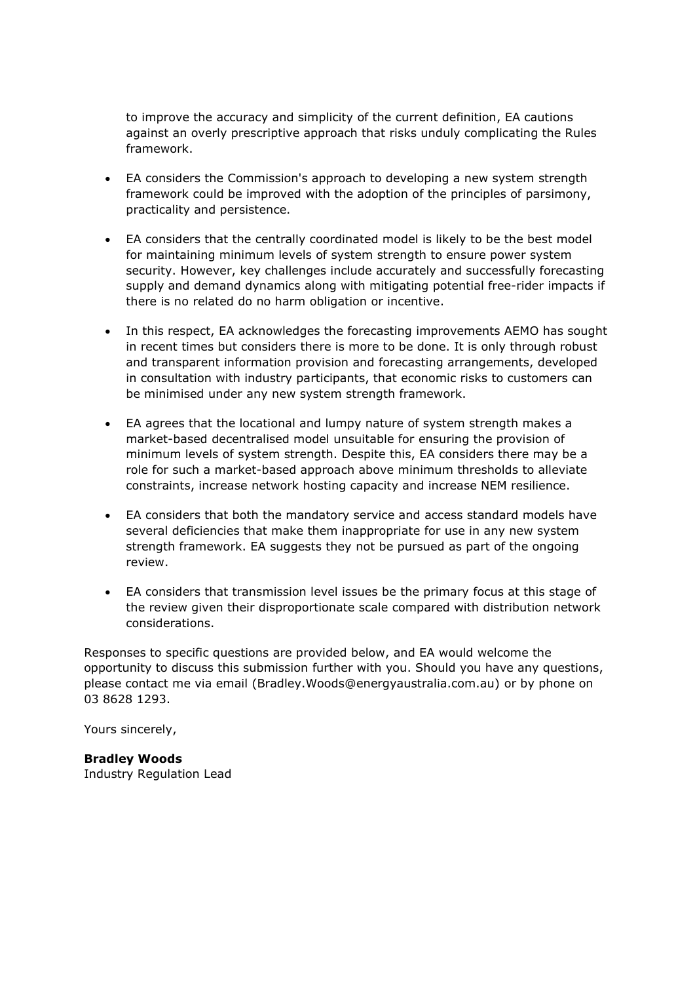to improve the accuracy and simplicity of the current definition, EA cautions against an overly prescriptive approach that risks unduly complicating the Rules framework.

- EA considers the Commission's approach to developing a new system strength framework could be improved with the adoption of the principles of parsimony, practicality and persistence.
- EA considers that the centrally coordinated model is likely to be the best model for maintaining minimum levels of system strength to ensure power system security. However, key challenges include accurately and successfully forecasting supply and demand dynamics along with mitigating potential free-rider impacts if there is no related do no harm obligation or incentive.
- In this respect, EA acknowledges the forecasting improvements AEMO has sought in recent times but considers there is more to be done. It is only through robust and transparent information provision and forecasting arrangements, developed in consultation with industry participants, that economic risks to customers can be minimised under any new system strength framework.
- EA agrees that the locational and lumpy nature of system strength makes a market-based decentralised model unsuitable for ensuring the provision of minimum levels of system strength. Despite this, EA considers there may be a role for such a market-based approach above minimum thresholds to alleviate constraints, increase network hosting capacity and increase NEM resilience.
- EA considers that both the mandatory service and access standard models have several deficiencies that make them inappropriate for use in any new system strength framework. EA suggests they not be pursued as part of the ongoing review.
- EA considers that transmission level issues be the primary focus at this stage of the review given their disproportionate scale compared with distribution network considerations.

Responses to specific questions are provided below, and EA would welcome the opportunity to discuss this submission further with you. Should you have any questions, please contact me via email (Bradley.Woods@energyaustralia.com.au) or by phone on 03 8628 1293.

Yours sincerely,

**Bradley Woods** Industry Regulation Lead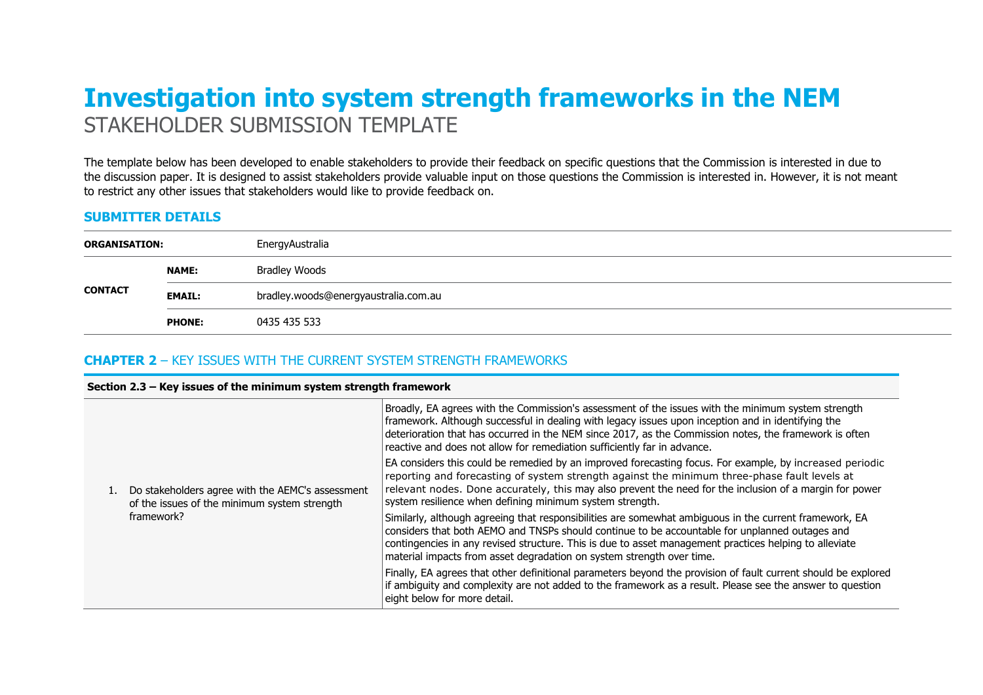# **Investigation into system strength frameworks in the NEM**  STAKEHOLDER SUBMISSION TEMPLATE

The template below has been developed to enable stakeholders to provide their feedback on specific questions that the Commission is interested in due to the discussion paper. It is designed to assist stakeholders provide valuable input on those questions the Commission is interested in. However, it is not meant to restrict any other issues that stakeholders would like to provide feedback on.

## **SUBMITTER DETAILS**

| <b>ORGANISATION:</b> |               | EnergyAustralia                      |  |
|----------------------|---------------|--------------------------------------|--|
|                      | <b>NAME:</b>  | <b>Bradley Woods</b>                 |  |
| <b>CONTACT</b>       | <b>EMAIL:</b> | bradley.woods@energyaustralia.com.au |  |
|                      | <b>PHONE:</b> | 0435 435 533                         |  |

## **CHAPTER 2** – KEY ISSUES WITH THE CURRENT SYSTEM STRENGTH FRAMEWORKS

#### **Section 2.3 – Key issues of the minimum system strength framework**

|  | Do stakeholders agree with the AEMC's assessment<br>of the issues of the minimum system strength<br>framework? | Broadly, EA agrees with the Commission's assessment of the issues with the minimum system strength<br>framework. Although successful in dealing with legacy issues upon inception and in identifying the<br>deterioration that has occurred in the NEM since 2017, as the Commission notes, the framework is often<br>reactive and does not allow for remediation sufficiently far in advance. |
|--|----------------------------------------------------------------------------------------------------------------|------------------------------------------------------------------------------------------------------------------------------------------------------------------------------------------------------------------------------------------------------------------------------------------------------------------------------------------------------------------------------------------------|
|  |                                                                                                                | EA considers this could be remedied by an improved forecasting focus. For example, by increased periodic<br>reporting and forecasting of system strength against the minimum three-phase fault levels at<br>relevant nodes. Done accurately, this may also prevent the need for the inclusion of a margin for power<br>system resilience when defining minimum system strength.                |
|  |                                                                                                                | Similarly, although agreeing that responsibilities are somewhat ambiguous in the current framework, EA<br>considers that both AEMO and TNSPs should continue to be accountable for unplanned outages and<br>contingencies in any revised structure. This is due to asset management practices helping to alleviate<br>material impacts from asset degradation on system strength over time.    |
|  |                                                                                                                | Finally, EA agrees that other definitional parameters beyond the provision of fault current should be explored<br>if ambiguity and complexity are not added to the framework as a result. Please see the answer to question<br>eight below for more detail.                                                                                                                                    |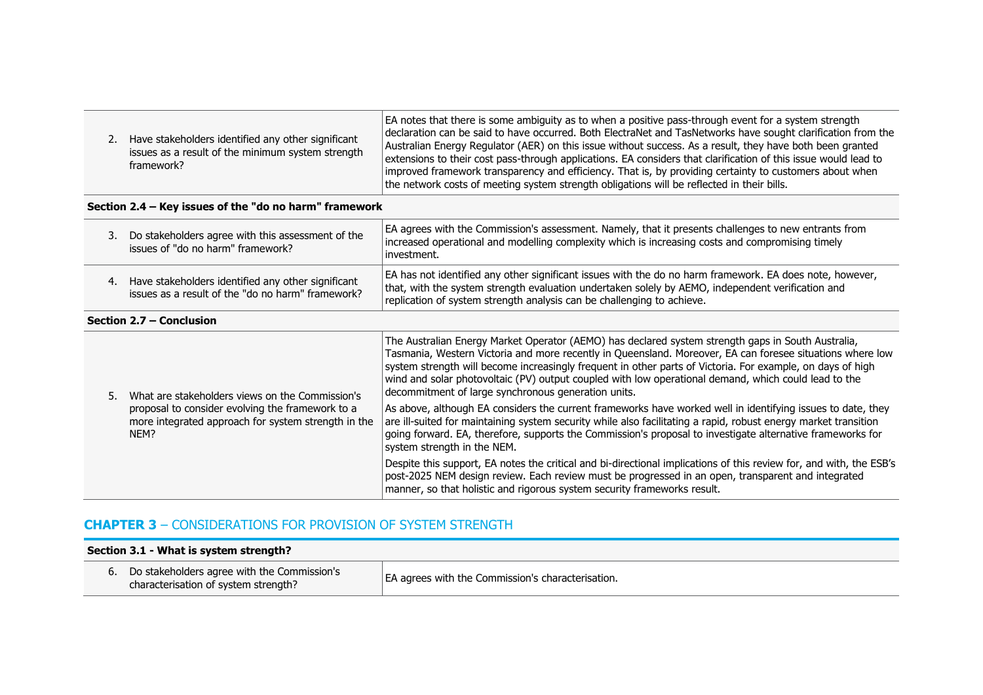|  | Have stakeholders identified any other significant<br>issues as a result of the minimum system strength<br>framework? | EA notes that there is some ambiguity as to when a positive pass-through event for a system strength<br>declaration can be said to have occurred. Both ElectraNet and TasNetworks have sought clarification from the<br>Australian Energy Regulator (AER) on this issue without success. As a result, they have both been granted<br>extensions to their cost pass-through applications. EA considers that clarification of this issue would lead to<br>improved framework transparency and efficiency. That is, by providing certainty to customers about when<br>the network costs of meeting system strength obligations will be reflected in their bills. |
|--|-----------------------------------------------------------------------------------------------------------------------|---------------------------------------------------------------------------------------------------------------------------------------------------------------------------------------------------------------------------------------------------------------------------------------------------------------------------------------------------------------------------------------------------------------------------------------------------------------------------------------------------------------------------------------------------------------------------------------------------------------------------------------------------------------|
|--|-----------------------------------------------------------------------------------------------------------------------|---------------------------------------------------------------------------------------------------------------------------------------------------------------------------------------------------------------------------------------------------------------------------------------------------------------------------------------------------------------------------------------------------------------------------------------------------------------------------------------------------------------------------------------------------------------------------------------------------------------------------------------------------------------|

## **Section 2.4 – Key issues of the "do no harm" framework**

| Do stakeholders agree with this assessment of the<br>issues of "do no harm" framework?                  | EA agrees with the Commission's assessment. Namely, that it presents challenges to new entrants from<br>increased operational and modelling complexity which is increasing costs and compromising timely<br>investment.                                                                 |
|---------------------------------------------------------------------------------------------------------|-----------------------------------------------------------------------------------------------------------------------------------------------------------------------------------------------------------------------------------------------------------------------------------------|
| Have stakeholders identified any other significant<br>issues as a result of the "do no harm" framework? | EA has not identified any other significant issues with the do no harm framework. EA does note, however,<br>that, with the system strength evaluation undertaken solely by AEMO, independent verification and<br>replication of system strength analysis can be challenging to achieve. |

#### **Section 2.7 – Conclusion**

| NEM? | What are stakeholders views on the Commission's                                                         | The Australian Energy Market Operator (AEMO) has declared system strength gaps in South Australia,<br>Tasmania, Western Victoria and more recently in Queensland. Moreover, EA can foresee situations where low<br>system strength will become increasingly frequent in other parts of Victoria. For example, on days of high<br>wind and solar photovoltaic (PV) output coupled with low operational demand, which could lead to the<br>decommitment of large synchronous generation units. |
|------|---------------------------------------------------------------------------------------------------------|----------------------------------------------------------------------------------------------------------------------------------------------------------------------------------------------------------------------------------------------------------------------------------------------------------------------------------------------------------------------------------------------------------------------------------------------------------------------------------------------|
|      | proposal to consider evolving the framework to a<br>more integrated approach for system strength in the | As above, although EA considers the current frameworks have worked well in identifying issues to date, they<br>are ill-suited for maintaining system security while also facilitating a rapid, robust energy market transition<br>going forward. EA, therefore, supports the Commission's proposal to investigate alternative frameworks for<br>system strength in the NEM.                                                                                                                  |
|      |                                                                                                         | Despite this support, EA notes the critical and bi-directional implications of this review for, and with, the ESB's<br>post-2025 NEM design review. Each review must be progressed in an open, transparent and integrated<br>manner, so that holistic and rigorous system security frameworks result.                                                                                                                                                                                        |

# **CHAPTER 3** – CONSIDERATIONS FOR PROVISION OF SYSTEM STRENGTH

| Section 3.1 - What is system strength? |                                                                                     |                                                          |  |
|----------------------------------------|-------------------------------------------------------------------------------------|----------------------------------------------------------|--|
| ь.                                     | Do stakeholders agree with the Commission's<br>characterisation of system strength? | <b>EA</b> agrees with the Commission's characterisation. |  |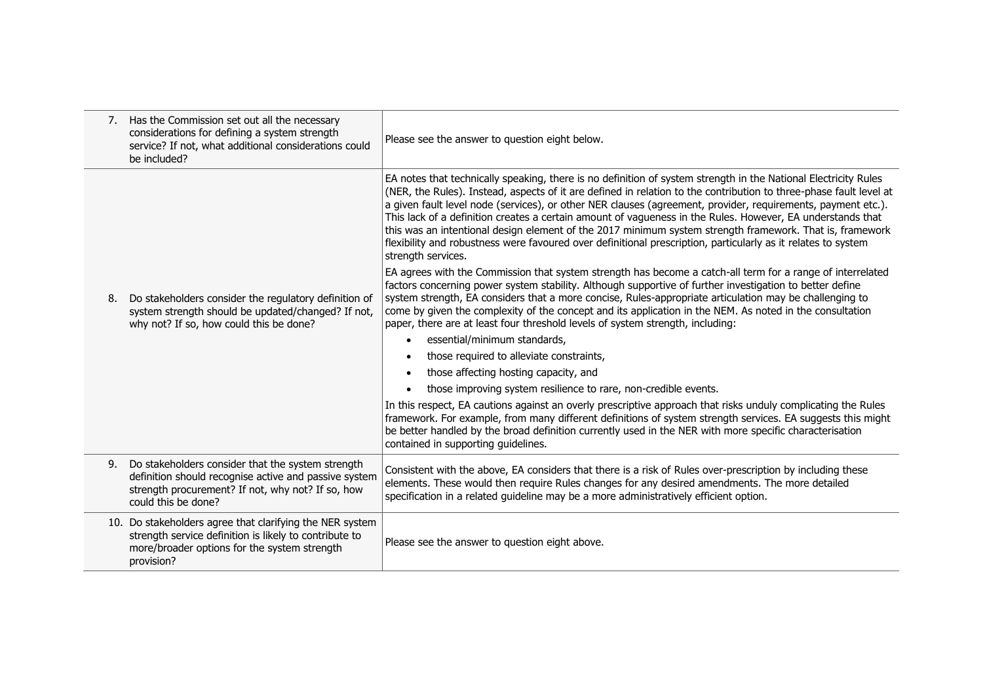|    | 7. Has the Commission set out all the necessary<br>considerations for defining a system strength<br>service? If not, what additional considerations could<br>be included?              | Please see the answer to question eight below.                                                                                                                                                                                                                                                                                                                                                                                                                                                                                                                                                                                                                                                                         |
|----|----------------------------------------------------------------------------------------------------------------------------------------------------------------------------------------|------------------------------------------------------------------------------------------------------------------------------------------------------------------------------------------------------------------------------------------------------------------------------------------------------------------------------------------------------------------------------------------------------------------------------------------------------------------------------------------------------------------------------------------------------------------------------------------------------------------------------------------------------------------------------------------------------------------------|
|    |                                                                                                                                                                                        | EA notes that technically speaking, there is no definition of system strength in the National Electricity Rules<br>(NER, the Rules). Instead, aspects of it are defined in relation to the contribution to three-phase fault level at<br>a given fault level node (services), or other NER clauses (agreement, provider, requirements, payment etc.).<br>This lack of a definition creates a certain amount of vagueness in the Rules. However, EA understands that<br>this was an intentional design element of the 2017 minimum system strength framework. That is, framework<br>flexibility and robustness were favoured over definitional prescription, particularly as it relates to system<br>strength services. |
| 8. | Do stakeholders consider the regulatory definition of<br>system strength should be updated/changed? If not,<br>why not? If so, how could this be done?                                 | EA agrees with the Commission that system strength has become a catch-all term for a range of interrelated<br>factors concerning power system stability. Although supportive of further investigation to better define<br>system strength, EA considers that a more concise, Rules-appropriate articulation may be challenging to<br>come by given the complexity of the concept and its application in the NEM. As noted in the consultation<br>paper, there are at least four threshold levels of system strength, including:                                                                                                                                                                                        |
|    |                                                                                                                                                                                        | essential/minimum standards,                                                                                                                                                                                                                                                                                                                                                                                                                                                                                                                                                                                                                                                                                           |
|    |                                                                                                                                                                                        | those required to alleviate constraints,<br>$\bullet$                                                                                                                                                                                                                                                                                                                                                                                                                                                                                                                                                                                                                                                                  |
|    |                                                                                                                                                                                        | those affecting hosting capacity, and<br>$\bullet$                                                                                                                                                                                                                                                                                                                                                                                                                                                                                                                                                                                                                                                                     |
|    |                                                                                                                                                                                        | those improving system resilience to rare, non-credible events.                                                                                                                                                                                                                                                                                                                                                                                                                                                                                                                                                                                                                                                        |
|    |                                                                                                                                                                                        | In this respect, EA cautions against an overly prescriptive approach that risks unduly complicating the Rules<br>framework. For example, from many different definitions of system strength services. EA suggests this might<br>be better handled by the broad definition currently used in the NER with more specific characterisation<br>contained in supporting quidelines.                                                                                                                                                                                                                                                                                                                                         |
| 9. | Do stakeholders consider that the system strength<br>definition should recognise active and passive system<br>strength procurement? If not, why not? If so, how<br>could this be done? | Consistent with the above, EA considers that there is a risk of Rules over-prescription by including these<br>elements. These would then require Rules changes for any desired amendments. The more detailed<br>specification in a related guideline may be a more administratively efficient option.                                                                                                                                                                                                                                                                                                                                                                                                                  |
|    | 10. Do stakeholders agree that clarifying the NER system<br>strength service definition is likely to contribute to<br>more/broader options for the system strength<br>provision?       | Please see the answer to question eight above.                                                                                                                                                                                                                                                                                                                                                                                                                                                                                                                                                                                                                                                                         |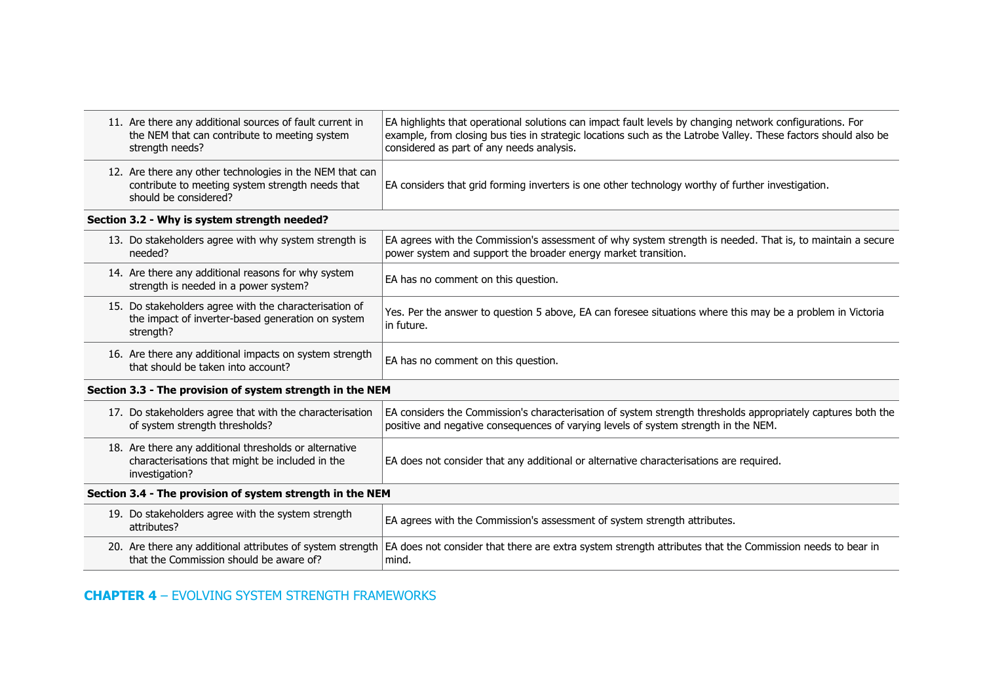| the NEM that can contribute to meeting system<br>strength needs?          | EA highlights that operational solutions can impact fault levels by changing network configurations. For<br>example, from closing bus ties in strategic locations such as the Latrobe Valley. These factors should also be<br>considered as part of any needs analysis.                                                                                                                                                                                                                                                                                                                                                                                                                                          |
|---------------------------------------------------------------------------|------------------------------------------------------------------------------------------------------------------------------------------------------------------------------------------------------------------------------------------------------------------------------------------------------------------------------------------------------------------------------------------------------------------------------------------------------------------------------------------------------------------------------------------------------------------------------------------------------------------------------------------------------------------------------------------------------------------|
| contribute to meeting system strength needs that<br>should be considered? | EA considers that grid forming inverters is one other technology worthy of further investigation.                                                                                                                                                                                                                                                                                                                                                                                                                                                                                                                                                                                                                |
|                                                                           |                                                                                                                                                                                                                                                                                                                                                                                                                                                                                                                                                                                                                                                                                                                  |
| needed?                                                                   | EA agrees with the Commission's assessment of why system strength is needed. That is, to maintain a secure<br>power system and support the broader energy market transition.                                                                                                                                                                                                                                                                                                                                                                                                                                                                                                                                     |
| strength is needed in a power system?                                     | EA has no comment on this question.                                                                                                                                                                                                                                                                                                                                                                                                                                                                                                                                                                                                                                                                              |
| the impact of inverter-based generation on system<br>strength?            | Yes. Per the answer to question 5 above, EA can foresee situations where this may be a problem in Victoria<br>in future.                                                                                                                                                                                                                                                                                                                                                                                                                                                                                                                                                                                         |
| that should be taken into account?                                        | EA has no comment on this question.                                                                                                                                                                                                                                                                                                                                                                                                                                                                                                                                                                                                                                                                              |
|                                                                           |                                                                                                                                                                                                                                                                                                                                                                                                                                                                                                                                                                                                                                                                                                                  |
| of system strength thresholds?                                            | EA considers the Commission's characterisation of system strength thresholds appropriately captures both the<br>positive and negative consequences of varying levels of system strength in the NEM.                                                                                                                                                                                                                                                                                                                                                                                                                                                                                                              |
| characterisations that might be included in the<br>investigation?         | EA does not consider that any additional or alternative characterisations are required.                                                                                                                                                                                                                                                                                                                                                                                                                                                                                                                                                                                                                          |
| Section 3.4 - The provision of system strength in the NEM                 |                                                                                                                                                                                                                                                                                                                                                                                                                                                                                                                                                                                                                                                                                                                  |
| attributes?                                                               | EA agrees with the Commission's assessment of system strength attributes.                                                                                                                                                                                                                                                                                                                                                                                                                                                                                                                                                                                                                                        |
| that the Commission should be aware of?                                   | EA does not consider that there are extra system strength attributes that the Commission needs to bear in<br>mind.                                                                                                                                                                                                                                                                                                                                                                                                                                                                                                                                                                                               |
|                                                                           | 11. Are there any additional sources of fault current in<br>12. Are there any other technologies in the NEM that can<br>Section 3.2 - Why is system strength needed?<br>13. Do stakeholders agree with why system strength is<br>14. Are there any additional reasons for why system<br>15. Do stakeholders agree with the characterisation of<br>16. Are there any additional impacts on system strength<br>Section 3.3 - The provision of system strength in the NEM<br>17. Do stakeholders agree that with the characterisation<br>18. Are there any additional thresholds or alternative<br>19. Do stakeholders agree with the system strength<br>20. Are there any additional attributes of system strength |

# **CHAPTER 4** – EVOLVING SYSTEM STRENGTH FRAMEWORKS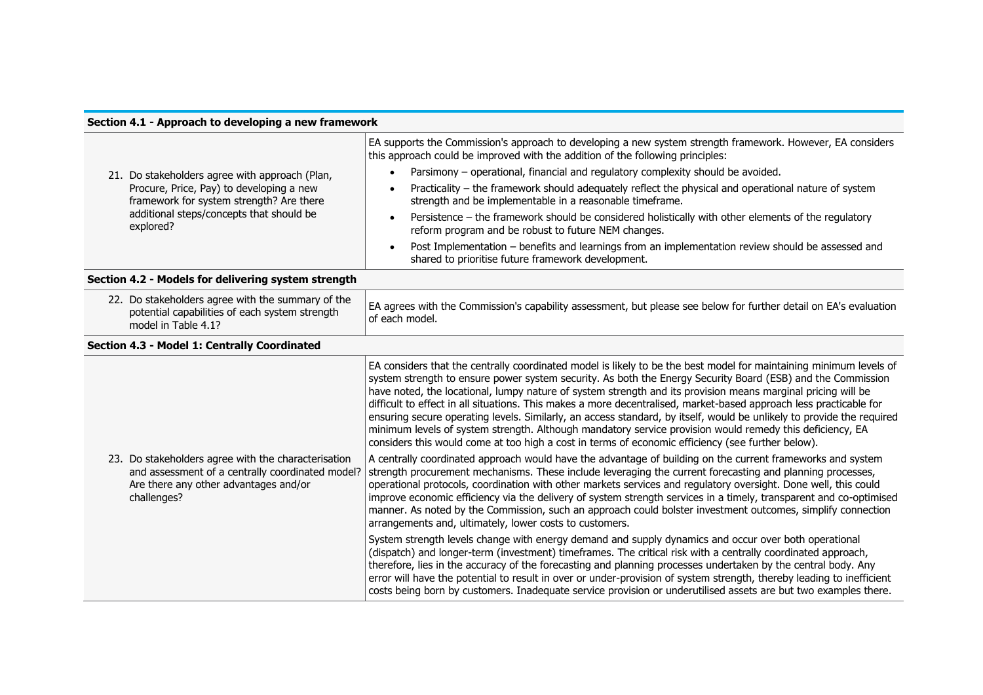| Section 4.1 - Approach to developing a new framework |                                                                                                                                                                 |                                                                                                                                                                                                                                                                                                                                                                                                                                                                                                                                                                                                                                                                                                                                                                                                                   |
|------------------------------------------------------|-----------------------------------------------------------------------------------------------------------------------------------------------------------------|-------------------------------------------------------------------------------------------------------------------------------------------------------------------------------------------------------------------------------------------------------------------------------------------------------------------------------------------------------------------------------------------------------------------------------------------------------------------------------------------------------------------------------------------------------------------------------------------------------------------------------------------------------------------------------------------------------------------------------------------------------------------------------------------------------------------|
|                                                      | 21. Do stakeholders agree with approach (Plan,<br>Procure, Price, Pay) to developing a new<br>framework for system strength? Are there                          | EA supports the Commission's approach to developing a new system strength framework. However, EA considers<br>this approach could be improved with the addition of the following principles:                                                                                                                                                                                                                                                                                                                                                                                                                                                                                                                                                                                                                      |
|                                                      |                                                                                                                                                                 | Parsimony - operational, financial and regulatory complexity should be avoided.<br>$\bullet$                                                                                                                                                                                                                                                                                                                                                                                                                                                                                                                                                                                                                                                                                                                      |
|                                                      |                                                                                                                                                                 | Practicality - the framework should adequately reflect the physical and operational nature of system<br>strength and be implementable in a reasonable timeframe.                                                                                                                                                                                                                                                                                                                                                                                                                                                                                                                                                                                                                                                  |
|                                                      | additional steps/concepts that should be<br>explored?                                                                                                           | Persistence - the framework should be considered holistically with other elements of the regulatory<br>reform program and be robust to future NEM changes.                                                                                                                                                                                                                                                                                                                                                                                                                                                                                                                                                                                                                                                        |
|                                                      |                                                                                                                                                                 | Post Implementation - benefits and learnings from an implementation review should be assessed and<br>shared to prioritise future framework development.                                                                                                                                                                                                                                                                                                                                                                                                                                                                                                                                                                                                                                                           |
|                                                      | Section 4.2 - Models for delivering system strength                                                                                                             |                                                                                                                                                                                                                                                                                                                                                                                                                                                                                                                                                                                                                                                                                                                                                                                                                   |
|                                                      | 22. Do stakeholders agree with the summary of the<br>potential capabilities of each system strength<br>model in Table 4.1?                                      | EA agrees with the Commission's capability assessment, but please see below for further detail on EA's evaluation<br>of each model.                                                                                                                                                                                                                                                                                                                                                                                                                                                                                                                                                                                                                                                                               |
|                                                      | Section 4.3 - Model 1: Centrally Coordinated                                                                                                                    |                                                                                                                                                                                                                                                                                                                                                                                                                                                                                                                                                                                                                                                                                                                                                                                                                   |
|                                                      |                                                                                                                                                                 | EA considers that the centrally coordinated model is likely to be the best model for maintaining minimum levels of<br>system strength to ensure power system security. As both the Energy Security Board (ESB) and the Commission<br>have noted, the locational, lumpy nature of system strength and its provision means marginal pricing will be<br>difficult to effect in all situations. This makes a more decentralised, market-based approach less practicable for<br>ensuring secure operating levels. Similarly, an access standard, by itself, would be unlikely to provide the required<br>minimum levels of system strength. Although mandatory service provision would remedy this deficiency, EA<br>considers this would come at too high a cost in terms of economic efficiency (see further below). |
|                                                      | 23. Do stakeholders agree with the characterisation<br>and assessment of a centrally coordinated model?<br>Are there any other advantages and/or<br>challenges? | A centrally coordinated approach would have the advantage of building on the current frameworks and system<br>strength procurement mechanisms. These include leveraging the current forecasting and planning processes,<br>operational protocols, coordination with other markets services and requlatory oversight. Done well, this could<br>improve economic efficiency via the delivery of system strength services in a timely, transparent and co-optimised<br>manner. As noted by the Commission, such an approach could bolster investment outcomes, simplify connection<br>arrangements and, ultimately, lower costs to customers.                                                                                                                                                                        |
|                                                      |                                                                                                                                                                 | System strength levels change with energy demand and supply dynamics and occur over both operational<br>(dispatch) and longer-term (investment) timeframes. The critical risk with a centrally coordinated approach,<br>therefore, lies in the accuracy of the forecasting and planning processes undertaken by the central body. Any<br>error will have the potential to result in over or under-provision of system strength, thereby leading to inefficient<br>costs being born by customers. Inadequate service provision or underutilised assets are but two examples there.                                                                                                                                                                                                                                 |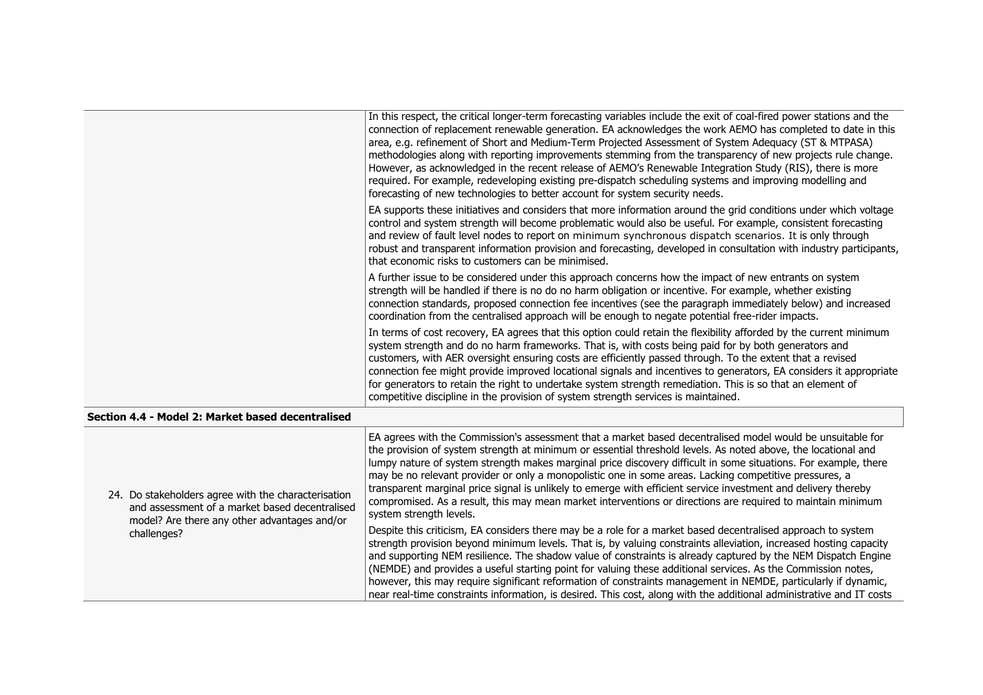|                                                   | In this respect, the critical longer-term forecasting variables include the exit of coal-fired power stations and the                                                                                                                                                                                                                                                                                                                                                                                                                                                                                                                                             |
|---------------------------------------------------|-------------------------------------------------------------------------------------------------------------------------------------------------------------------------------------------------------------------------------------------------------------------------------------------------------------------------------------------------------------------------------------------------------------------------------------------------------------------------------------------------------------------------------------------------------------------------------------------------------------------------------------------------------------------|
|                                                   | connection of replacement renewable generation. EA acknowledges the work AEMO has completed to date in this<br>area, e.g. refinement of Short and Medium-Term Projected Assessment of System Adequacy (ST & MTPASA)<br>methodologies along with reporting improvements stemming from the transparency of new projects rule change.<br>However, as acknowledged in the recent release of AEMO's Renewable Integration Study (RIS), there is more<br>required. For example, redeveloping existing pre-dispatch scheduling systems and improving modelling and<br>forecasting of new technologies to better account for system security needs.                       |
|                                                   | EA supports these initiatives and considers that more information around the grid conditions under which voltage<br>control and system strength will become problematic would also be useful. For example, consistent forecasting<br>and review of fault level nodes to report on minimum synchronous dispatch scenarios. It is only through<br>robust and transparent information provision and forecasting, developed in consultation with industry participants,<br>that economic risks to customers can be minimised.                                                                                                                                         |
|                                                   | A further issue to be considered under this approach concerns how the impact of new entrants on system<br>strength will be handled if there is no do no harm obligation or incentive. For example, whether existing<br>connection standards, proposed connection fee incentives (see the paragraph immediately below) and increased<br>coordination from the centralised approach will be enough to negate potential free-rider impacts.                                                                                                                                                                                                                          |
|                                                   | In terms of cost recovery, EA agrees that this option could retain the flexibility afforded by the current minimum<br>system strength and do no harm frameworks. That is, with costs being paid for by both generators and<br>customers, with AER oversight ensuring costs are efficiently passed through. To the extent that a revised<br>connection fee might provide improved locational signals and incentives to generators, EA considers it appropriate<br>for generators to retain the right to undertake system strength remediation. This is so that an element of<br>competitive discipline in the provision of system strength services is maintained. |
| Section 4.4 - Model 2: Market based decentralised |                                                                                                                                                                                                                                                                                                                                                                                                                                                                                                                                                                                                                                                                   |

| 24. Do stakeholders agree with the characterisation<br>and assessment of a market based decentralised<br>model? Are there any other advantages and/or | EA agrees with the Commission's assessment that a market based decentralised model would be unsuitable for<br>the provision of system strength at minimum or essential threshold levels. As noted above, the locational and<br>lumpy nature of system strength makes marginal price discovery difficult in some situations. For example, there<br>may be no relevant provider or only a monopolistic one in some areas. Lacking competitive pressures, a<br>transparent marginal price signal is unlikely to emerge with efficient service investment and delivery thereby<br>compromised. As a result, this may mean market interventions or directions are required to maintain minimum<br>system strength levels. |
|-------------------------------------------------------------------------------------------------------------------------------------------------------|----------------------------------------------------------------------------------------------------------------------------------------------------------------------------------------------------------------------------------------------------------------------------------------------------------------------------------------------------------------------------------------------------------------------------------------------------------------------------------------------------------------------------------------------------------------------------------------------------------------------------------------------------------------------------------------------------------------------|
| challenges?                                                                                                                                           | Despite this criticism, EA considers there may be a role for a market based decentralised approach to system<br>strength provision beyond minimum levels. That is, by valuing constraints alleviation, increased hosting capacity<br>and supporting NEM resilience. The shadow value of constraints is already captured by the NEM Dispatch Engine<br>(NEMDE) and provides a useful starting point for valuing these additional services. As the Commission notes,<br>however, this may require significant reformation of constraints management in NEMDE, particularly if dynamic,<br>near real-time constraints information, is desired. This cost, along with the additional administrative and IT costs         |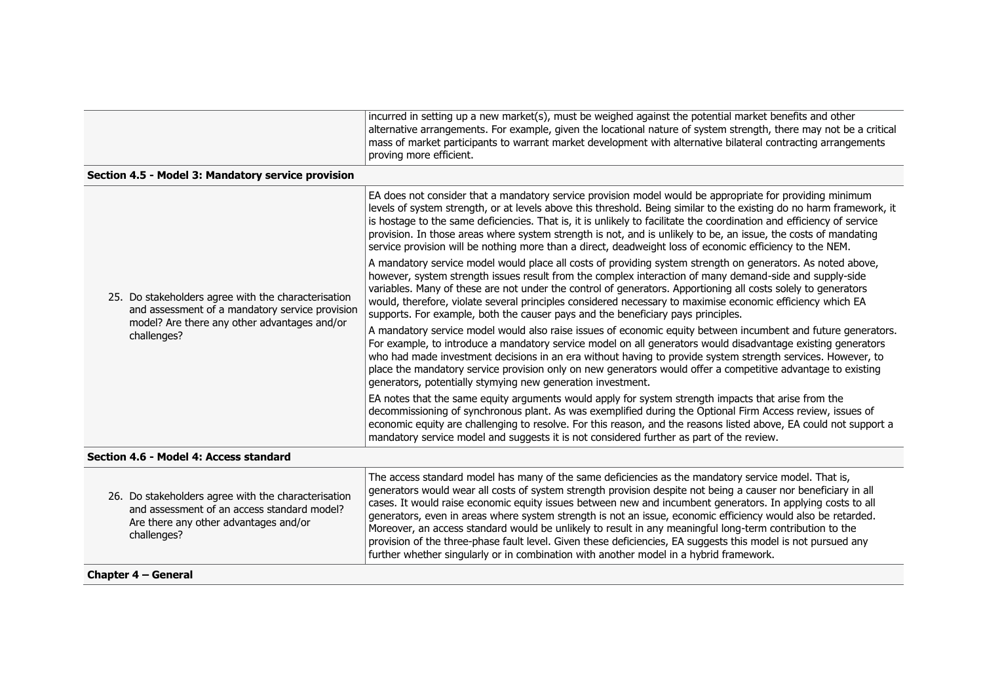|                                                                                                                                                        | incurred in setting up a new market(s), must be weighed against the potential market benefits and other<br>alternative arrangements. For example, given the locational nature of system strength, there may not be a critical<br>mass of market participants to warrant market development with alternative bilateral contracting arrangements<br>proving more efficient.                                                                                                                                                                                                                |
|--------------------------------------------------------------------------------------------------------------------------------------------------------|------------------------------------------------------------------------------------------------------------------------------------------------------------------------------------------------------------------------------------------------------------------------------------------------------------------------------------------------------------------------------------------------------------------------------------------------------------------------------------------------------------------------------------------------------------------------------------------|
| Section 4.5 - Model 3: Mandatory service provision                                                                                                     |                                                                                                                                                                                                                                                                                                                                                                                                                                                                                                                                                                                          |
|                                                                                                                                                        | EA does not consider that a mandatory service provision model would be appropriate for providing minimum<br>levels of system strength, or at levels above this threshold. Being similar to the existing do no harm framework, it<br>is hostage to the same deficiencies. That is, it is unlikely to facilitate the coordination and efficiency of service<br>provision. In those areas where system strength is not, and is unlikely to be, an issue, the costs of mandating<br>service provision will be nothing more than a direct, deadweight loss of economic efficiency to the NEM. |
| 25. Do stakeholders agree with the characterisation<br>and assessment of a mandatory service provision<br>model? Are there any other advantages and/or | A mandatory service model would place all costs of providing system strength on generators. As noted above,<br>however, system strength issues result from the complex interaction of many demand-side and supply-side<br>variables. Many of these are not under the control of generators. Apportioning all costs solely to generators<br>would, therefore, violate several principles considered necessary to maximise economic efficiency which EA<br>supports. For example, both the causer pays and the beneficiary pays principles.                                                |
| challenges?                                                                                                                                            | A mandatory service model would also raise issues of economic equity between incumbent and future generators.<br>For example, to introduce a mandatory service model on all generators would disadvantage existing generators<br>who had made investment decisions in an era without having to provide system strength services. However, to                                                                                                                                                                                                                                             |

generators, potentially stymying new generation investment.

place the mandatory service provision only on new generators would offer a competitive advantage to existing

EA notes that the same equity arguments would apply for system strength impacts that arise from the decommissioning of synchronous plant. As was exemplified during the Optional Firm Access review, issues of economic equity are challenging to resolve. For this reason, and the reasons listed above, EA could not support a

mandatory service model and suggests it is not considered further as part of the review.

#### **Section 4.6 - Model 4: Access standard**

| 26. Do stakeholders agree with the characterisation<br>and assessment of an access standard model?<br>Are there any other advantages and/or<br>challenges? | The access standard model has many of the same deficiencies as the mandatory service model. That is,<br>generators would wear all costs of system strength provision despite not being a causer nor beneficiary in all<br>cases. It would raise economic equity issues between new and incumbent generators. In applying costs to all<br>generators, even in areas where system strength is not an issue, economic efficiency would also be retarded.<br>Moreover, an access standard would be unlikely to result in any meaningful long-term contribution to the<br>provision of the three-phase fault level. Given these deficiencies, EA suggests this model is not pursued any<br>further whether singularly or in combination with another model in a hybrid framework. |
|------------------------------------------------------------------------------------------------------------------------------------------------------------|------------------------------------------------------------------------------------------------------------------------------------------------------------------------------------------------------------------------------------------------------------------------------------------------------------------------------------------------------------------------------------------------------------------------------------------------------------------------------------------------------------------------------------------------------------------------------------------------------------------------------------------------------------------------------------------------------------------------------------------------------------------------------|
|------------------------------------------------------------------------------------------------------------------------------------------------------------|------------------------------------------------------------------------------------------------------------------------------------------------------------------------------------------------------------------------------------------------------------------------------------------------------------------------------------------------------------------------------------------------------------------------------------------------------------------------------------------------------------------------------------------------------------------------------------------------------------------------------------------------------------------------------------------------------------------------------------------------------------------------------|

#### **Chapter 4 – General**